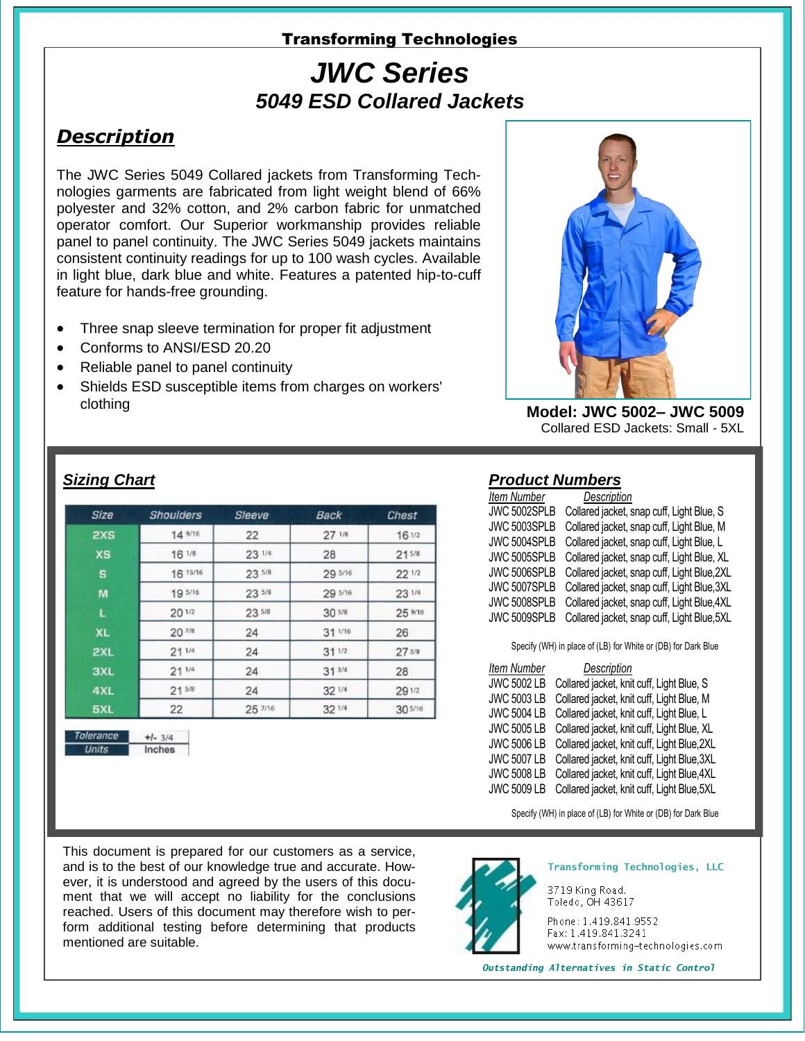#### Transforming Technologies

# *JWC Series 5049 ESD Collared Jackets*

## *Description*

The JWC Series 5049 Collared jackets from Transforming Technologies garments are fabricated from light weight blend of 66% polyester and 32% cotton, and 2% carbon fabric for unmatched operator comfort. Our Superior workmanship provides reliable panel to panel continuity. The JWC Series 5049 jackets maintains consistent continuity readings for up to 100 wash cycles. Available in light blue, dark blue and white. Features a patented hip-to-cuff feature for hands-free grounding.

- Three snap sleeve termination for proper fit adjustment
- Conforms to ANSI/ESD 20.20
- Reliable panel to panel continuity
- Shields ESD susceptible items from charges on workers' clothing



**Model: JWC 5002– JWC 5009** Collared ESD Jackets: Small - 5XL

#### *Sizing Chart*

Tolerance

 $+1 - 3/4$ Inches

| Size       | <b>Shoulders</b>  | Sleeve     | Back              | Chest      |
|------------|-------------------|------------|-------------------|------------|
| 2XS        | 14 9/16           | 22         | $27^{1/8}$        | 161/2      |
| <b>XS</b>  | 16 1/8            | 23 1/4     | 28                | $21^{5/8}$ |
| s          | 16 15/16          | $23^{5/8}$ | 29 5/16           | $22^{1/2}$ |
| M          | 19 5/16           | 23 5/8     | 29 5/16           | 23 1/4     |
| L          | 201/2             | 235/8      | 30 <sup>5/8</sup> | 25 9/16    |
| XL         | 20 <sup>7/8</sup> | 24         | $31^{1/16}$       | 26         |
| 2XL        | $21^{1/4}$        | 24         | $31^{1/2}$        | 273/8      |
| <b>3XL</b> | $21^{1/4}$        | 24         | $31^{3/4}$        | 28         |
| 4XL        | 21 <sup>5/8</sup> | 24         | 32 1/4            | 29 1/2     |
| 5XL        | 22                | 25 7/16    | 32 1/4            | 305/16     |

*Product Numbers*

| <b>Item Number</b> | Description                                 |
|--------------------|---------------------------------------------|
| JWC 5002SPLB       | Collared jacket, snap cuff, Light Blue, S   |
| JWC 5003SPLB       | Collared jacket, snap cuff, Light Blue, M   |
| JWC 5004SPLB       | Collared jacket, snap cuff, Light Blue, L   |
| JWC 5005SPLB       | Collared jacket, snap cuff, Light Blue, XL  |
| JWC 5006SPLB       | Collared jacket, snap cuff, Light Blue, 2XL |
| JWC 5007SPLB       | Collared jacket, snap cuff, Light Blue, 3XL |
| JWC 5008SPLB       | Collared jacket, snap cuff, Light Blue, 4XL |
| JWC 5009SPLB       | Collared jacket, snap cuff, Light Blue, 5XL |

Specify (WH) in place of (LB) for White or (DB) for Dark Blue

| <b>Item Number</b> | Description                                 |
|--------------------|---------------------------------------------|
| <b>JWC 5002 LB</b> | Collared jacket, knit cuff, Light Blue, S   |
| <b>JWC 5003 LB</b> | Collared jacket, knit cuff, Light Blue, M   |
| <b>JWC 5004 LB</b> | Collared jacket, knit cuff, Light Blue, L   |
| <b>JWC 5005 LB</b> | Collared jacket, knit cuff, Light Blue, XL  |
| <b>JWC 5006 LB</b> | Collared jacket, knit cuff, Light Blue, 2XL |
| <b>JWC 5007 LB</b> | Collared jacket, knit cuff, Light Blue, 3XL |
| <b>JWC 5008 LB</b> | Collared jacket, knit cuff, Light Blue, 4XL |
| <b>JWC 5009 LB</b> | Collared jacket, knit cuff, Light Blue, 5XL |

Specify (WH) in place of (LB) for White or (DB) for Dark Blue

This document is prepared for our customers as a service, and is to the best of our knowledge true and accurate. However, it is understood and agreed by the users of this document that we will accept no liability for the conclusions reached. Users of this document may therefore wish to perform additional testing before determining that products mentioned are suitable.



**Transforming Technologies, LLC**

3719 King Road. Toledo, OH 43617

Phone: 1.419.841.9552 Fax: 1.419.841.3241 www.transforming-technologies.com

*Outstanding Alternatives in Static Control*